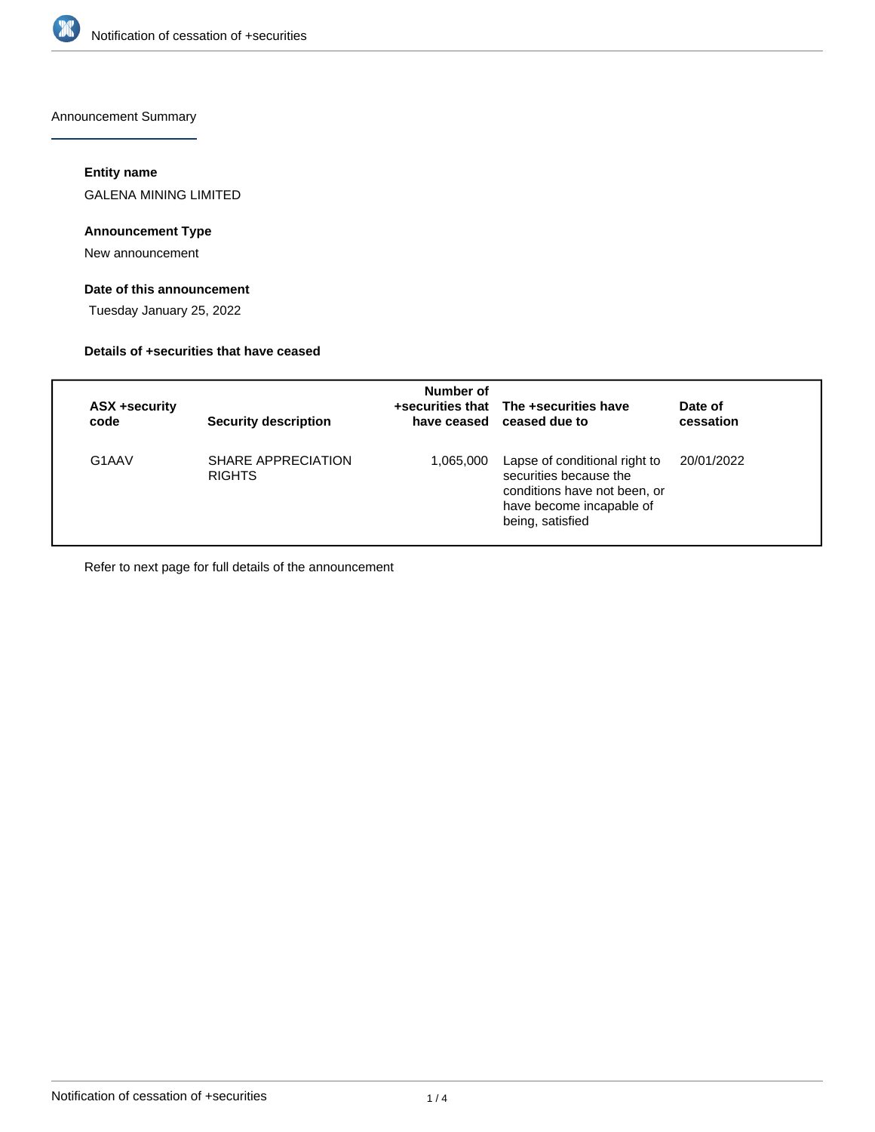

Announcement Summary

## **Entity name**

GALENA MINING LIMITED

# **Announcement Type**

New announcement

# **Date of this announcement**

Tuesday January 25, 2022

### **Details of +securities that have ceased**

| ASX +security<br>code | <b>Security description</b>         | Number of | +securities that The +securities have<br>have ceased ceased due to                                                                      | Date of<br>cessation |
|-----------------------|-------------------------------------|-----------|-----------------------------------------------------------------------------------------------------------------------------------------|----------------------|
| G1AAV                 | SHARE APPRECIATION<br><b>RIGHTS</b> | 1,065,000 | Lapse of conditional right to<br>securities because the<br>conditions have not been, or<br>have become incapable of<br>being, satisfied | 20/01/2022           |

Refer to next page for full details of the announcement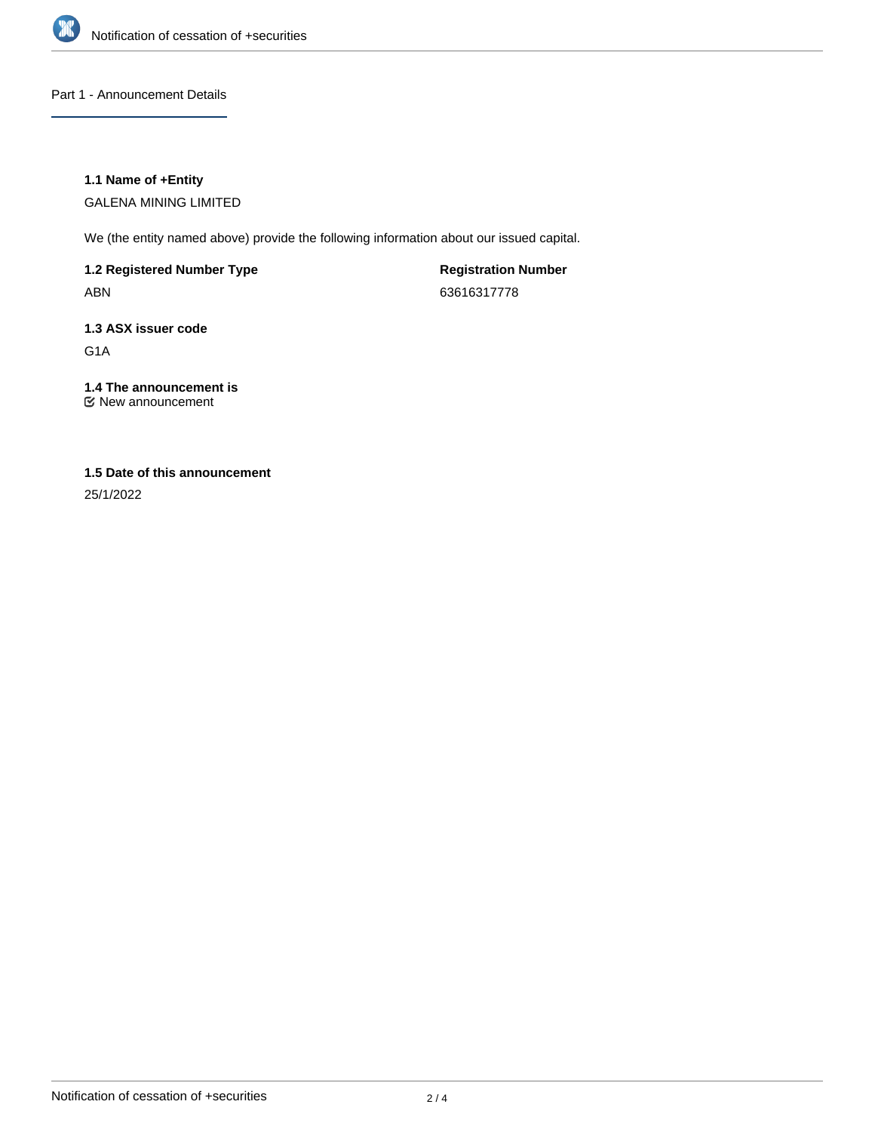

Part 1 - Announcement Details

## **1.1 Name of +Entity**

GALENA MINING LIMITED

We (the entity named above) provide the following information about our issued capital.

**1.2 Registered Number Type**

ABN

**Registration Number** 63616317778

# **1.3 ASX issuer code**

G1A

# **1.4 The announcement is**

New announcement

# **1.5 Date of this announcement**

25/1/2022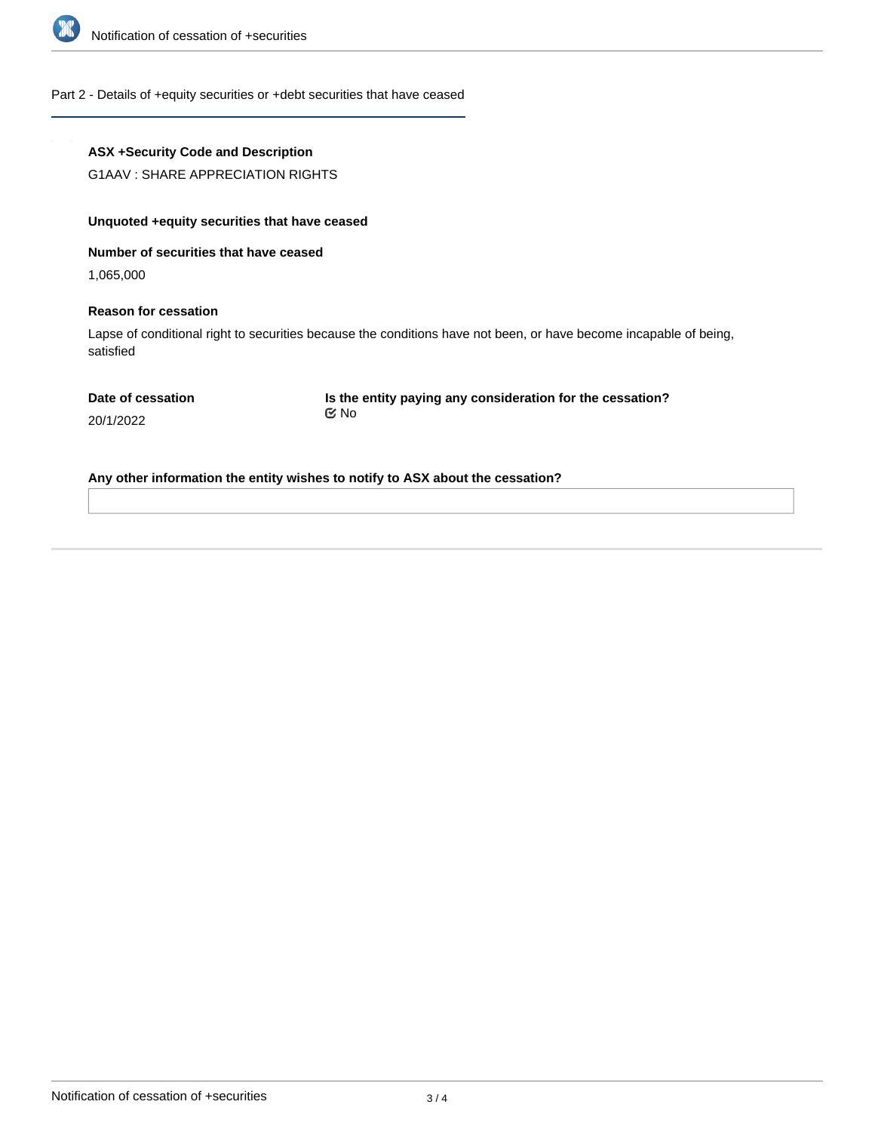

Part 2 - Details of +equity securities or +debt securities that have ceased

### **ASX +Security Code and Description**

G1AAV : SHARE APPRECIATION RIGHTS

# **Unquoted +equity securities that have ceased**

**Number of securities that have ceased**

1,065,000

### **Reason for cessation**

Lapse of conditional right to securities because the conditions have not been, or have become incapable of being, satisfied

**Is the entity paying any consideration for the cessation?** No

20/1/2022

**Any other information the entity wishes to notify to ASX about the cessation?**